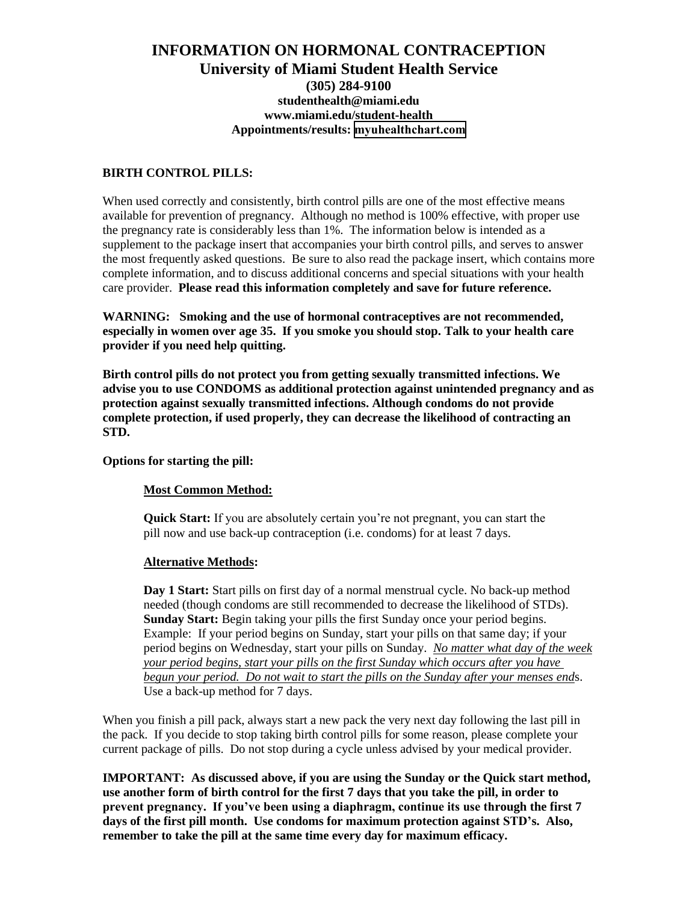# **INFORMATION ON HORMONAL CONTRACEPTION University of Miami Student Health Service (305) 284-9100 [studenthealth@miami.edu](mailto:studenthealth@miami.edu)  [www.miami.edu/student-health](http://www.miami.edu/student-health)  Appointments/results: [m](mystudenthealth.miami.edu)[yuhealthchart.com](https://myuhealthchart.com)**

# **BIRTH CONTROL PILLS:**

When used correctly and consistently, birth control pills are one of the most effective means available for prevention of pregnancy. Although no method is 100% effective, with proper use the pregnancy rate is considerably less than 1%. The information below is intended as a supplement to the package insert that accompanies your birth control pills, and serves to answer the most frequently asked questions. Be sure to also read the package insert, which contains more complete information, and to discuss additional concerns and special situations with your health care provider. **Please read this information completely and save for future reference.**

**WARNING: Smoking and the use of hormonal contraceptives are not recommended, especially in women over age 35. If you smoke you should stop. Talk to your health care provider if you need help quitting.** 

**Birth control pills do not protect you from getting sexually transmitted infections. We advise you to use CONDOMS as additional protection against unintended pregnancy and as protection against sexually transmitted infections. Although condoms do not provide complete protection, if used properly, they can decrease the likelihood of contracting an STD.** 

# **Options for starting the pill:**

# **Most Common Method:**

**Quick Start:** If you are absolutely certain you're not pregnant, you can start the pill now and use back-up contraception (i.e. condoms) for at least 7 days.

# **Alternative Methods:**

**Day 1 Start:** Start pills on first day of a normal menstrual cycle. No back-up method needed (though condoms are still recommended to decrease the likelihood of STDs). **Sunday Start:** Begin taking your pills the first Sunday once your period begins. Example: If your period begins on Sunday, start your pills on that same day; if your period begins on Wednesday, start your pills on Sunday. *No matter what day of the week your period begins, start your pills on the first Sunday which occurs after you have begun your period. Do not wait to start the pills on the Sunday after your menses end*s. Use a back-up method for 7 days.

When you finish a pill pack, always start a new pack the very next day following the last pill in the pack. If you decide to stop taking birth control pills for some reason, please complete your current package of pills. Do not stop during a cycle unless advised by your medical provider.

**IMPORTANT: As discussed above, if you are using the Sunday or the Quick start method, use another form of birth control for the first 7 days that you take the pill, in order to prevent pregnancy. If you've been using a diaphragm, continue its use through the first 7 days of the first pill month. Use condoms for maximum protection against STD's. Also, remember to take the pill at the same time every day for maximum efficacy.**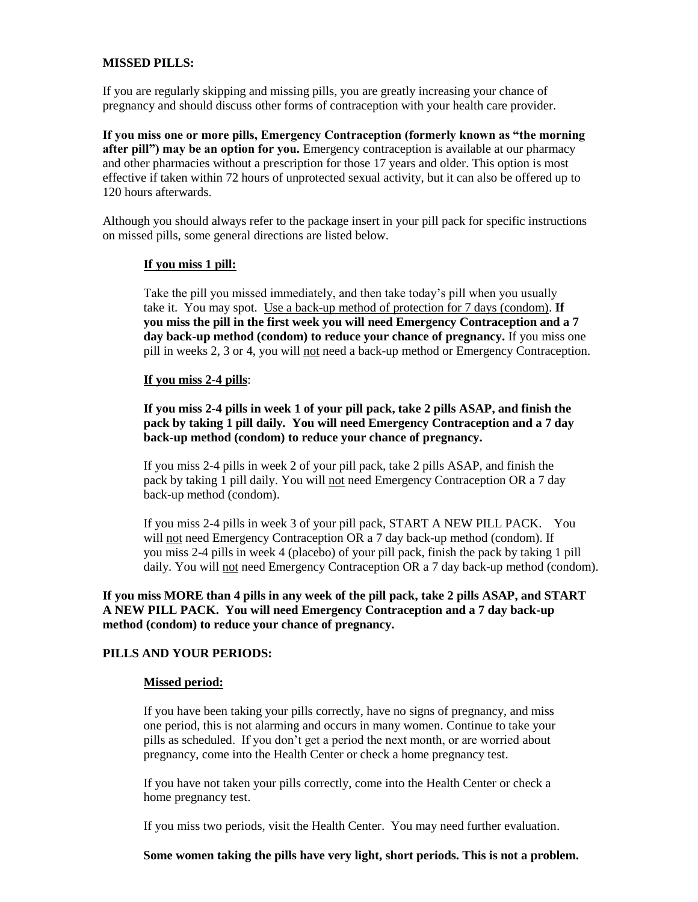# **MISSED PILLS:**

If you are regularly skipping and missing pills, you are greatly increasing your chance of pregnancy and should discuss other forms of contraception with your health care provider.

**If you miss one or more pills, Emergency Contraception (formerly known as "the morning after pill") may be an option for you.** Emergency contraception is available at our pharmacy and other pharmacies without a prescription for those 17 years and older. This option is most effective if taken within 72 hours of unprotected sexual activity, but it can also be offered up to 120 hours afterwards.

Although you should always refer to the package insert in your pill pack for specific instructions on missed pills, some general directions are listed below.

#### **If you miss 1 pill:**

Take the pill you missed immediately, and then take today's pill when you usually take it. You may spot. Use a back-up method of protection for 7 days (condom). **If you miss the pill in the first week you will need Emergency Contraception and a 7 day back-up method (condom) to reduce your chance of pregnancy.** If you miss one pill in weeks 2, 3 or 4, you will not need a back-up method or Emergency Contraception.

#### **If you miss 2-4 pills**:

**If you miss 2-4 pills in week 1 of your pill pack, take 2 pills ASAP, and finish the pack by taking 1 pill daily. You will need Emergency Contraception and a 7 day back-up method (condom) to reduce your chance of pregnancy.** 

If you miss 2-4 pills in week 2 of your pill pack, take 2 pills ASAP, and finish the pack by taking 1 pill daily. You will not need Emergency Contraception OR a 7 day back-up method (condom).

If you miss 2-4 pills in week 3 of your pill pack, START A NEW PILL PACK. You will not need Emergency Contraception OR a 7 day back-up method (condom). If you miss 2-4 pills in week 4 (placebo) of your pill pack, finish the pack by taking 1 pill daily. You will not need Emergency Contraception OR a 7 day back-up method (condom).

**If you miss MORE than 4 pills in any week of the pill pack, take 2 pills ASAP, and START A NEW PILL PACK. You will need Emergency Contraception and a 7 day back-up method (condom) to reduce your chance of pregnancy.** 

# **PILLS AND YOUR PERIODS:**

#### **Missed period:**

If you have been taking your pills correctly, have no signs of pregnancy, and miss one period, this is not alarming and occurs in many women. Continue to take your pills as scheduled. If you don't get a period the next month, or are worried about pregnancy, come into the Health Center or check a home pregnancy test.

If you have not taken your pills correctly, come into the Health Center or check a home pregnancy test.

If you miss two periods, visit the Health Center. You may need further evaluation.

**Some women taking the pills have very light, short periods. This is not a problem.**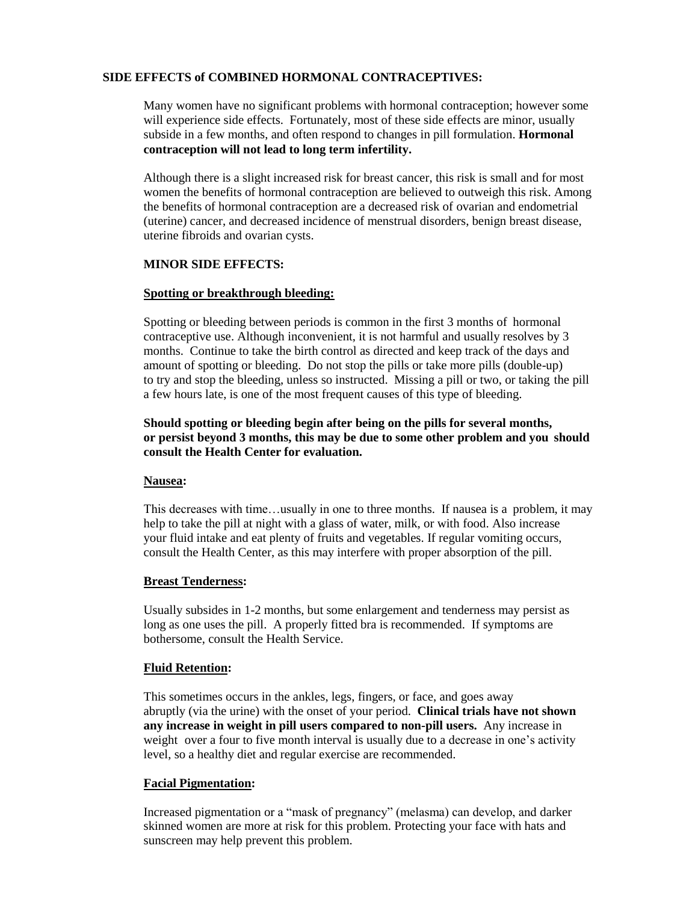### **SIDE EFFECTS of COMBINED HORMONAL CONTRACEPTIVES:**

Many women have no significant problems with hormonal contraception; however some will experience side effects. Fortunately, most of these side effects are minor, usually subside in a few months, and often respond to changes in pill formulation. **Hormonal contraception will not lead to long term infertility.** 

Although there is a slight increased risk for breast cancer, this risk is small and for most women the benefits of hormonal contraception are believed to outweigh this risk. Among the benefits of hormonal contraception are a decreased risk of ovarian and endometrial (uterine) cancer, and decreased incidence of menstrual disorders, benign breast disease, uterine fibroids and ovarian cysts.

### **MINOR SIDE EFFECTS:**

#### **Spotting or breakthrough bleeding:**

Spotting or bleeding between periods is common in the first 3 months of hormonal contraceptive use. Although inconvenient, it is not harmful and usually resolves by 3 months. Continue to take the birth control as directed and keep track of the days and amount of spotting or bleeding. Do not stop the pills or take more pills (double-up) to try and stop the bleeding, unless so instructed. Missing a pill or two, or taking the pill a few hours late, is one of the most frequent causes of this type of bleeding.

## **Should spotting or bleeding begin after being on the pills for several months, or persist beyond 3 months, this may be due to some other problem and you should consult the Health Center for evaluation.**

### **Nausea:**

This decreases with time…usually in one to three months. If nausea is a problem, it may help to take the pill at night with a glass of water, milk, or with food. Also increase your fluid intake and eat plenty of fruits and vegetables. If regular vomiting occurs, consult the Health Center, as this may interfere with proper absorption of the pill.

# **Breast Tenderness:**

Usually subsides in 1-2 months, but some enlargement and tenderness may persist as long as one uses the pill. A properly fitted bra is recommended. If symptoms are bothersome, consult the Health Service.

#### **Fluid Retention:**

This sometimes occurs in the ankles, legs, fingers, or face, and goes away abruptly (via the urine) with the onset of your period. **Clinical trials have not shown any increase in weight in pill users compared to non-pill users.** Any increase in weight over a four to five month interval is usually due to a decrease in one's activity level, so a healthy diet and regular exercise are recommended.

# **Facial Pigmentation:**

Increased pigmentation or a "mask of pregnancy" (melasma) can develop, and darker skinned women are more at risk for this problem. Protecting your face with hats and sunscreen may help prevent this problem.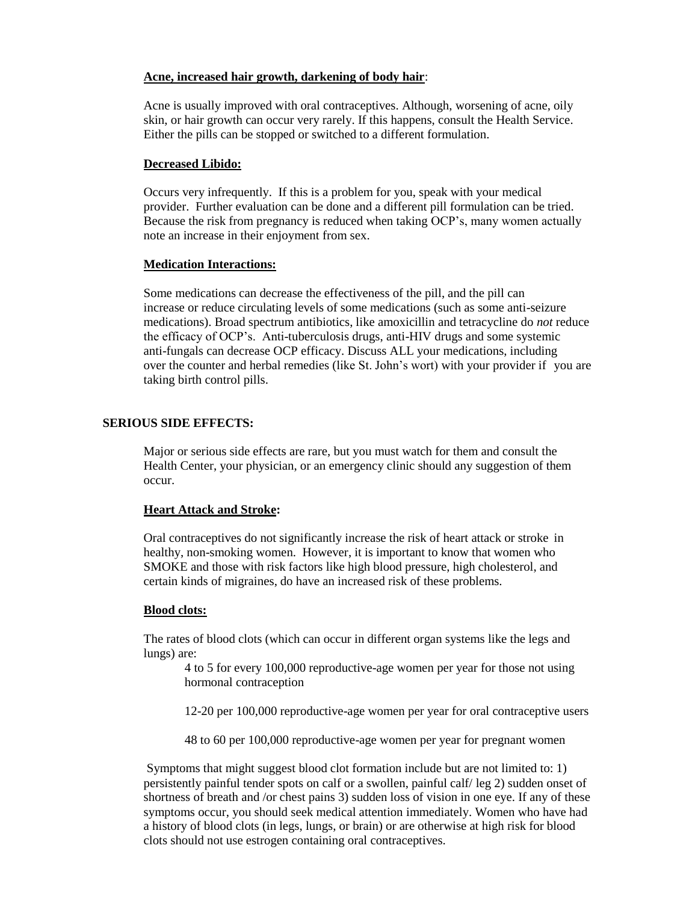### **Acne, increased hair growth, darkening of body hair**:

Acne is usually improved with oral contraceptives. Although, worsening of acne, oily skin, or hair growth can occur very rarely. If this happens, consult the Health Service. Either the pills can be stopped or switched to a different formulation.

### **Decreased Libido:**

Occurs very infrequently. If this is a problem for you, speak with your medical provider. Further evaluation can be done and a different pill formulation can be tried. Because the risk from pregnancy is reduced when taking OCP's, many women actually note an increase in their enjoyment from sex.

### **Medication Interactions:**

Some medications can decrease the effectiveness of the pill, and the pill can increase or reduce circulating levels of some medications (such as some anti-seizure medications). Broad spectrum antibiotics, like amoxicillin and tetracycline do *not* reduce the efficacy of OCP's. Anti-tuberculosis drugs, anti-HIV drugs and some systemic anti-fungals can decrease OCP efficacy. Discuss ALL your medications, including over the counter and herbal remedies (like St. John's wort) with your provider if you are taking birth control pills.

# **SERIOUS SIDE EFFECTS:**

Major or serious side effects are rare, but you must watch for them and consult the Health Center, your physician, or an emergency clinic should any suggestion of them occur.

# **Heart Attack and Stroke:**

Oral contraceptives do not significantly increase the risk of heart attack or stroke in healthy, non-smoking women. However, it is important to know that women who SMOKE and those with risk factors like high blood pressure, high cholesterol, and certain kinds of migraines, do have an increased risk of these problems.

### **Blood clots:**

The rates of blood clots (which can occur in different organ systems like the legs and lungs) are:

4 to 5 for every 100,000 reproductive-age women per year for those not using hormonal contraception

12-20 per 100,000 reproductive-age women per year for oral contraceptive users

48 to 60 per 100,000 reproductive-age women per year for pregnant women

Symptoms that might suggest blood clot formation include but are not limited to: 1) persistently painful tender spots on calf or a swollen, painful calf/ leg 2) sudden onset of shortness of breath and /or chest pains 3) sudden loss of vision in one eye. If any of these symptoms occur, you should seek medical attention immediately. Women who have had a history of blood clots (in legs, lungs, or brain) or are otherwise at high risk for blood clots should not use estrogen containing oral contraceptives.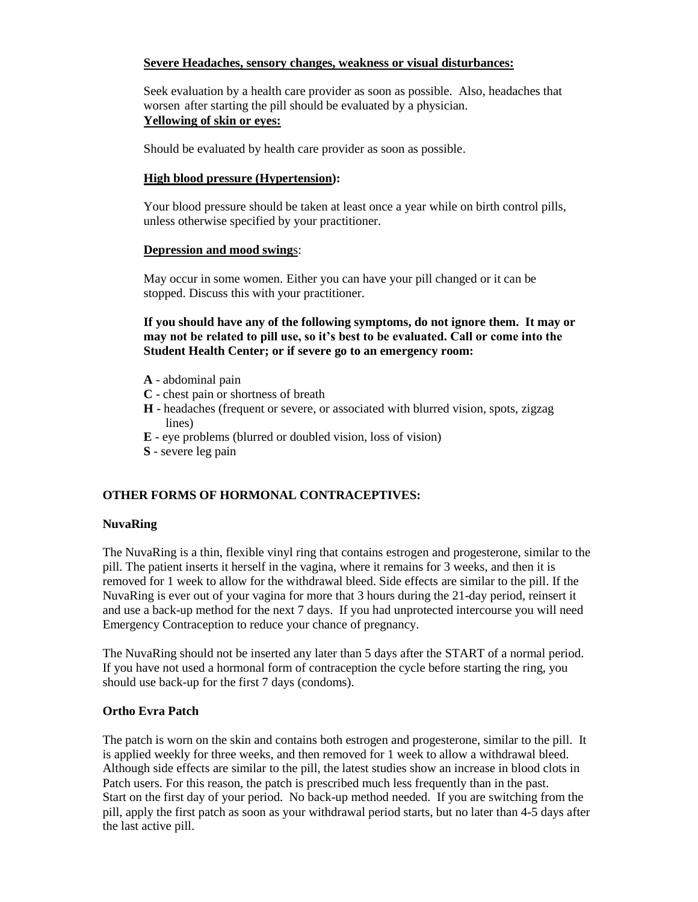# **Severe Headaches, sensory changes, weakness or visual disturbances:**

Seek evaluation by a health care provider as soon as possible. Also, headaches that worsen after starting the pill should be evaluated by a physician. **Yellowing of skin or eyes:**

Should be evaluated by health care provider as soon as possible.

# **High blood pressure (Hypertension):**

Your blood pressure should be taken at least once a year while on birth control pills, unless otherwise specified by your practitioner.

# **Depression and mood swing**s:

May occur in some women. Either you can have your pill changed or it can be stopped. Discuss this with your practitioner.

**If you should have any of the following symptoms, do not ignore them. It may or may not be related to pill use, so it's best to be evaluated. Call or come into the Student Health Center; or if severe go to an emergency room:**

- **A** abdominal pain
- **C** chest pain or shortness of breath
- **H** headaches (frequent or severe, or associated with blurred vision, spots, zigzag lines)
- **E** eye problems (blurred or doubled vision, loss of vision)
- **S** severe leg pain

# **OTHER FORMS OF HORMONAL CONTRACEPTIVES:**

# **NuvaRing**

The NuvaRing is a thin, flexible vinyl ring that contains estrogen and progesterone, similar to the pill. The patient inserts it herself in the vagina, where it remains for 3 weeks, and then it is removed for 1 week to allow for the withdrawal bleed. Side effects are similar to the pill. If the NuvaRing is ever out of your vagina for more that 3 hours during the 21-day period, reinsert it and use a back-up method for the next 7 days. If you had unprotected intercourse you will need Emergency Contraception to reduce your chance of pregnancy.

The NuvaRing should not be inserted any later than 5 days after the START of a normal period. If you have not used a hormonal form of contraception the cycle before starting the ring, you should use back-up for the first 7 days (condoms).

# **Ortho Evra Patch**

The patch is worn on the skin and contains both estrogen and progesterone, similar to the pill. It is applied weekly for three weeks, and then removed for 1 week to allow a withdrawal bleed. Although side effects are similar to the pill, the latest studies show an increase in blood clots in Patch users. For this reason, the patch is prescribed much less frequently than in the past. Start on the first day of your period. No back-up method needed. If you are switching from the pill, apply the first patch as soon as your withdrawal period starts, but no later than 4-5 days after the last active pill.